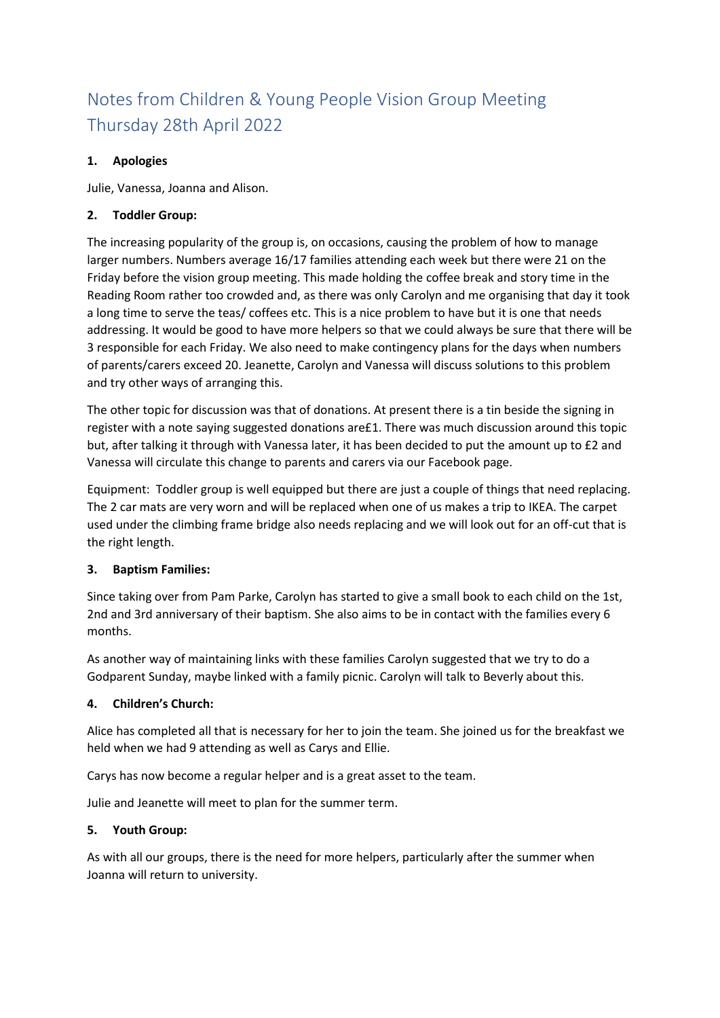# Notes from Children & Young People Vision Group Meeting Thursday 28th April 2022

## **1. Apologies**

Julie, Vanessa, Joanna and Alison.

### **2. Toddler Group:**

The increasing popularity of the group is, on occasions, causing the problem of how to manage larger numbers. Numbers average 16/17 families attending each week but there were 21 on the Friday before the vision group meeting. This made holding the coffee break and story time in the Reading Room rather too crowded and, as there was only Carolyn and me organising that day it took a long time to serve the teas/ coffees etc. This is a nice problem to have but it is one that needs addressing. It would be good to have more helpers so that we could always be sure that there will be 3 responsible for each Friday. We also need to make contingency plans for the days when numbers of parents/carers exceed 20. Jeanette, Carolyn and Vanessa will discuss solutions to this problem and try other ways of arranging this.

The other topic for discussion was that of donations. At present there is a tin beside the signing in register with a note saying suggested donations are£1. There was much discussion around this topic but, after talking it through with Vanessa later, it has been decided to put the amount up to £2 and Vanessa will circulate this change to parents and carers via our Facebook page.

Equipment: Toddler group is well equipped but there are just a couple of things that need replacing. The 2 car mats are very worn and will be replaced when one of us makes a trip to IKEA. The carpet used under the climbing frame bridge also needs replacing and we will look out for an off-cut that is the right length.

#### **3. Baptism Families:**

Since taking over from Pam Parke, Carolyn has started to give a small book to each child on the 1st, 2nd and 3rd anniversary of their baptism. She also aims to be in contact with the families every 6 months.

As another way of maintaining links with these families Carolyn suggested that we try to do a Godparent Sunday, maybe linked with a family picnic. Carolyn will talk to Beverly about this.

#### **4. Children's Church:**

Alice has completed all that is necessary for her to join the team. She joined us for the breakfast we held when we had 9 attending as well as Carys and Ellie.

Carys has now become a regular helper and is a great asset to the team.

Julie and Jeanette will meet to plan for the summer term.

#### **5. Youth Group:**

As with all our groups, there is the need for more helpers, particularly after the summer when Joanna will return to university.